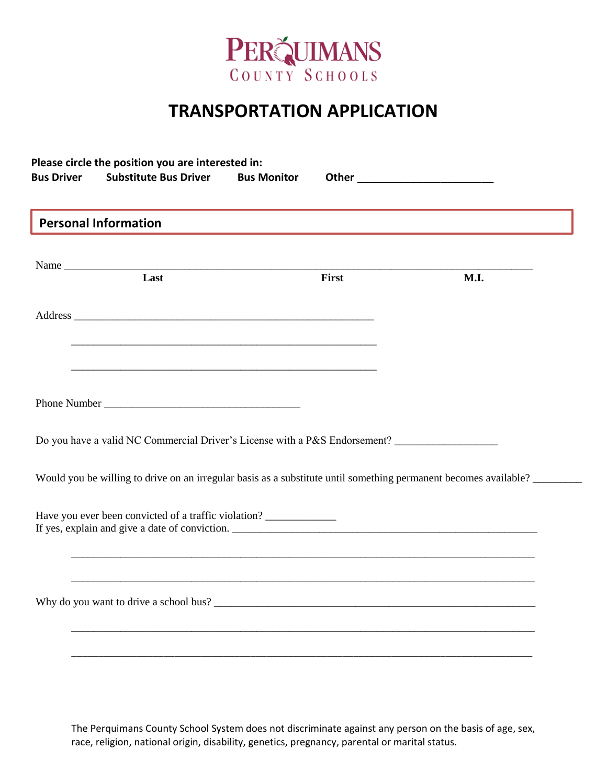

## **TRANSPORTATION APPLICATION**

| <b>Personal Information</b>                                                                                                                            |       |      |  |  |  |
|--------------------------------------------------------------------------------------------------------------------------------------------------------|-------|------|--|--|--|
| Name<br>Last                                                                                                                                           | First | M.I. |  |  |  |
|                                                                                                                                                        |       |      |  |  |  |
| <u> 1989 - Johann Harry Harry Harry Harry Harry Harry Harry Harry Harry Harry Harry Harry Harry Harry Harry Harry</u>                                  |       |      |  |  |  |
|                                                                                                                                                        |       |      |  |  |  |
| Do you have a valid NC Commercial Driver's License with a P&S Endorsement? ________________________                                                    |       |      |  |  |  |
| Would you be willing to drive on an irregular basis as a substitute until something permanent becomes available?                                       |       |      |  |  |  |
|                                                                                                                                                        |       |      |  |  |  |
|                                                                                                                                                        |       |      |  |  |  |
| Have you ever been convicted of a traffic violation? _____________<br>,我们也不能在这里的人,我们也不能在这里的人,我们也不能在这里的人,我们也不能在这里的人,我们也不能在这里的人,我们也不能在这里的人,我们也不能在这里的人,我们 |       |      |  |  |  |

The Perquimans County School System does not discriminate against any person on the basis of age, sex, race, religion, national origin, disability, genetics, pregnancy, parental or marital status.